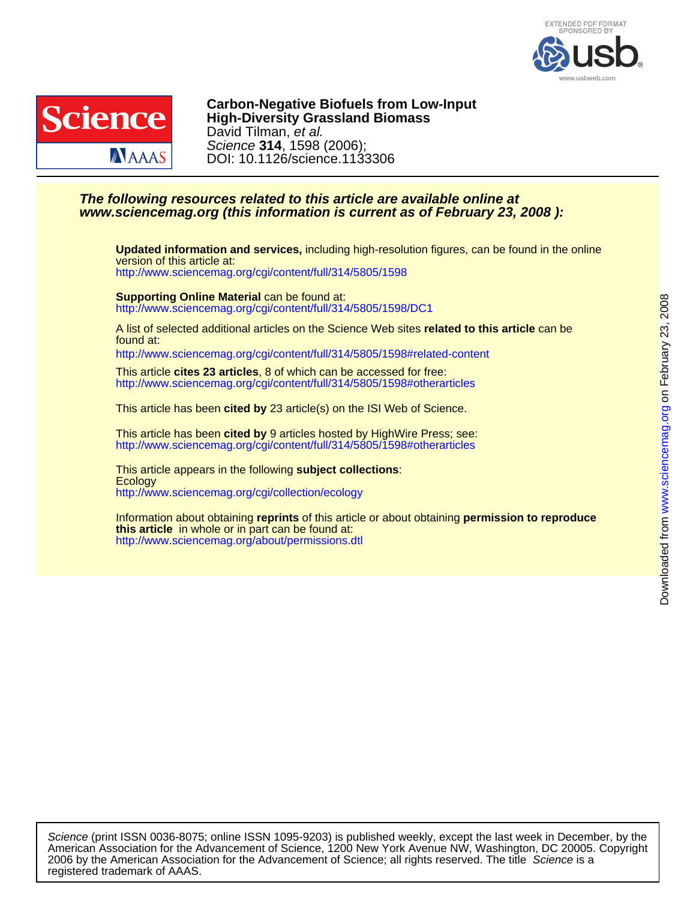



DOI: 10.1126/science.1133306 Science **314**, 1598 (2006); David Tilman, et al. **High-Diversity Grassland Biomass Carbon-Negative Biofuels from Low-Input**

# **www.sciencemag.org (this information is current as of February 23, 2008 ): The following resources related to this article are available online at**

<http://www.sciencemag.org/cgi/content/full/314/5805/1598> version of this article at: **Updated information and services,** including high-resolution figures, can be found in the online

<http://www.sciencemag.org/cgi/content/full/314/5805/1598/DC1> **Supporting Online Material** can be found at:

found at: A list of selected additional articles on the Science Web sites **related to this article** can be

<http://www.sciencemag.org/cgi/content/full/314/5805/1598#related-content>

<http://www.sciencemag.org/cgi/content/full/314/5805/1598#otherarticles> This article **cites 23 articles**, 8 of which can be accessed for free:

This article has been **cited by** 23 article(s) on the ISI Web of Science.

<http://www.sciencemag.org/cgi/content/full/314/5805/1598#otherarticles> This article has been **cited by** 9 articles hosted by HighWire Press; see:

<http://www.sciencemag.org/cgi/collection/ecology> **Ecology** This article appears in the following **subject collections**:

<http://www.sciencemag.org/about/permissions.dtl> **this article** in whole or in part can be found at: Information about obtaining **reprints** of this article or about obtaining **permission to reproduce**

registered trademark of AAAS. 2006 by the American Association for the Advancement of Science; all rights reserved. The title Science is a American Association for the Advancement of Science, 1200 New York Avenue NW, Washington, DC 20005. Copyright Science (print ISSN 0036-8075; online ISSN 1095-9203) is published weekly, except the last week in December, by the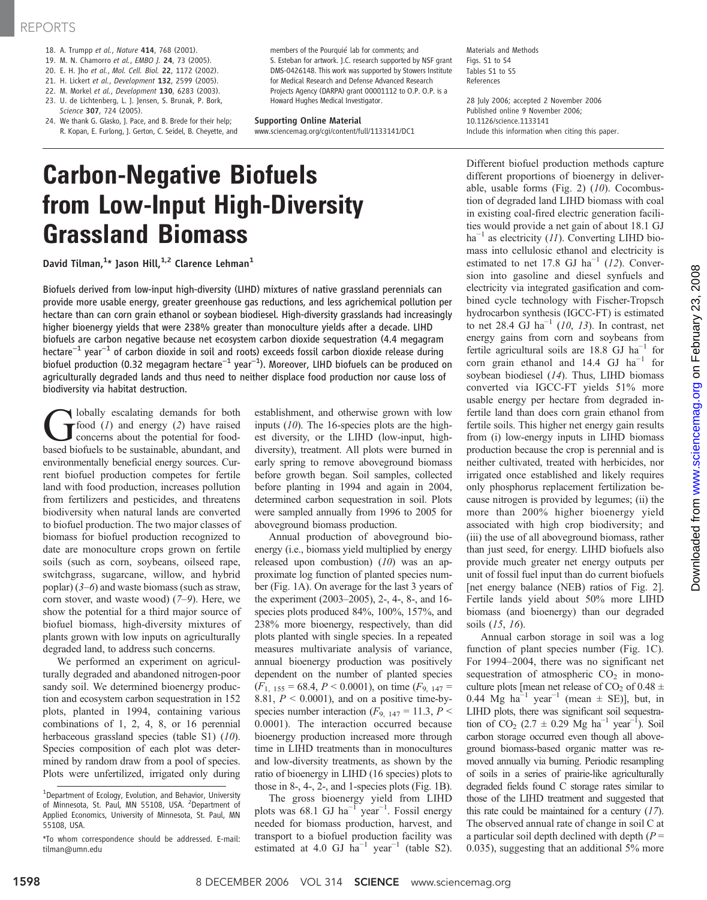### REPORTS

- 18. A. Trumpp et al., Nature 414, 768 (2001).
- 19. M. N. Chamorro et al., EMBO J. 24, 73 (2005).
- 20. E. H. Jho et al., Mol. Cell. Biol. 22, 1172 (2002).
- 21. H. Lickert et al., Development 132, 2599 (2005).
- 22. M. Morkel et al., Development 130, 6283 (2003).
- 23. U. de Lichtenberg, L. J. Jensen, S. Brunak, P. Bork, Science 307, 724 (2005).
- 24. We thank G. Glasko, J. Pace, and B. Brede for their help; R. Kopan, E. Furlong, J. Gerton, C. Seidel, B. Cheyette, and

members of the Pourquié lab for comments; and S. Esteban for artwork. J.C. research supported by NSF grant DMS-0426148. This work was supported by Stowers Institute for Medical Research and Defense Advanced Research Projects Agency (DARPA) grant 00001112 to O.P. O.P. is a Howard Hughes Medical Investigator.

#### Supporting Online Material

www.sciencemag.org/cgi/content/full/1133141/DC1

Materials and Methods Figs. S1 to S4 Tables S1 to S5 References

28 July 2006; accepted 2 November 2006 Published online 9 November 2006; 10.1126/science.1133141 Include this information when citing this paper.

# Carbon-Negative Biofuels from Low-Input High-Diversity Grassland Biomass

David Tilman, $^{1\star}$  Jason Hill, $^{1,2}$  Clarence Lehman $^1$ 

Biofuels derived from low-input high-diversity (LIHD) mixtures of native grassland perennials can provide more usable energy, greater greenhouse gas reductions, and less agrichemical pollution per hectare than can corn grain ethanol or soybean biodiesel. High-diversity grasslands had increasingly higher bioenergy yields that were 238% greater than monoculture yields after a decade. LIHD biofuels are carbon negative because net ecosystem carbon dioxide sequestration (4.4 megagram hectare−<sup>1</sup> year−<sup>1</sup> of carbon dioxide in soil and roots) exceeds fossil carbon dioxide release during biofuel production (0.32 megagram hectare−<sup>1</sup> year−<sup>1</sup> ). Moreover, LIHD biofuels can be produced on agriculturally degraded lands and thus need to neither displace food production nor cause loss of biodiversity via habitat destruction.

bolally escalating demands for both  $r$  food  $(1)$  and energy  $(2)$  have raised concerns about the potential for foodbased biofuels to be sustainable, abundant, and environmentally beneficial energy sources. Current biofuel production competes for fertile land with food production, increases pollution from fertilizers and pesticides, and threatens biodiversity when natural lands are converted to biofuel production. The two major classes of biomass for biofuel production recognized to date are monoculture crops grown on fertile soils (such as corn, soybeans, oilseed rape, switchgrass, sugarcane, willow, and hybrid poplar)  $(3-6)$  and waste biomass (such as straw, corn stover, and waste wood) (7–9). Here, we show the potential for a third major source of biofuel biomass, high-diversity mixtures of plants grown with low inputs on agriculturally degraded land, to address such concerns.

We performed an experiment on agriculturally degraded and abandoned nitrogen-poor sandy soil. We determined bioenergy production and ecosystem carbon sequestration in 152 plots, planted in 1994, containing various combinations of 1, 2, 4, 8, or 16 perennial herbaceous grassland species (table S1) (10). Species composition of each plot was determined by random draw from a pool of species. Plots were unfertilized, irrigated only during establishment, and otherwise grown with low inputs (10). The 16-species plots are the highest diversity, or the LIHD (low-input, highdiversity), treatment. All plots were burned in early spring to remove aboveground biomass before growth began. Soil samples, collected before planting in 1994 and again in 2004, determined carbon sequestration in soil. Plots were sampled annually from 1996 to 2005 for aboveground biomass production.

Annual production of aboveground bioenergy (i.e., biomass yield multiplied by energy released upon combustion)  $(10)$  was an approximate log function of planted species number (Fig. 1A). On average for the last 3 years of the experiment (2003–2005), 2-, 4-, 8-, and 16 species plots produced 84%, 100%, 157%, and 238% more bioenergy, respectively, than did plots planted with single species. In a repeated measures multivariate analysis of variance, annual bioenergy production was positively dependent on the number of planted species  $(F<sub>1, 155</sub> = 68.4, P < 0.0001)$ , on time  $(F<sub>9, 147</sub> =$ 8.81,  $P < 0.0001$ ), and on a positive time-byspecies number interaction ( $F_{9, 147} = 11.3, P <$ 0.0001). The interaction occurred because bioenergy production increased more through time in LIHD treatments than in monocultures and low-diversity treatments, as shown by the ratio of bioenergy in LIHD (16 species) plots to those in 8-, 4-, 2-, and 1-species plots (Fig. 1B).

The gross bioenergy yield from LIHD plots was 68.1 GJ ha<sup>-1</sup> year<sup>-1</sup>. Fossil energy needed for biomass production, harvest, and transport to a biofuel production facility was estimated at 4.0 GJ ha<sup>-1</sup> year<sup>-1</sup> (table S2).

Different biofuel production methods capture different proportions of bioenergy in deliverable, usable forms (Fig. 2)  $(10)$ . Cocombustion of degraded land LIHD biomass with coal in existing coal-fired electric generation facilities would provide a net gain of about 18.1 GJ  $ha^{-1}$  as electricity (11). Converting LIHD biomass into cellulosic ethanol and electricity is estimated to net 17.8 GJ ha<sup>-1</sup> (12). Conversion into gasoline and diesel synfuels and electricity via integrated gasification and combined cycle technology with Fischer-Tropsch hydrocarbon synthesis (IGCC-FT) is estimated to net 28.4 GJ ha<sup> $-1$ </sup> (10, 13). In contrast, net energy gains from corn and soybeans from fertile agricultural soils are 18.8 GJ ha<sup>-1</sup> for corn grain ethanol and 14.4 GJ  $ha^{-1}$  for soybean biodiesel (14). Thus, LIHD biomass converted via IGCC-FT yields 51% more usable energy per hectare from degraded infertile land than does corn grain ethanol from fertile soils. This higher net energy gain results from (i) low-energy inputs in LIHD biomass production because the crop is perennial and is neither cultivated, treated with herbicides, nor irrigated once established and likely requires only phosphorus replacement fertilization because nitrogen is provided by legumes; (ii) the more than 200% higher bioenergy yield associated with high crop biodiversity; and (iii) the use of all aboveground biomass, rather than just seed, for energy. LIHD biofuels also provide much greater net energy outputs per unit of fossil fuel input than do current biofuels [net energy balance (NEB) ratios of Fig. 2]. Fertile lands yield about 50% more LIHD biomass (and bioenergy) than our degraded soils (15, 16).

Annual carbon storage in soil was a log function of plant species number (Fig. 1C). For 1994–2004, there was no significant net sequestration of atmospheric  $CO<sub>2</sub>$  in monoculture plots [mean net release of CO<sub>2</sub> of 0.48  $\pm$ 0.44 Mg ha<sup>-1</sup> year<sup>-1</sup> (mean  $\pm$  SE)], but, in LIHD plots, there was significant soil sequestration of  $CO_2$  (2.7 ± 0.29 Mg ha<sup>-1</sup> year<sup>-1</sup>). Soil carbon storage occurred even though all aboveground biomass-based organic matter was removed annually via burning. Periodic resampling of soils in a series of prairie-like agriculturally degraded fields found C storage rates similar to those of the LIHD treatment and suggested that this rate could be maintained for a century  $(17)$ . The observed annual rate of change in soil C at a particular soil depth declined with depth  $(P =$ 0.035), suggesting that an additional 5% more

<sup>&</sup>lt;sup>1</sup>Department of Ecology, Evolution, and Behavior, University of Minnesota, St. Paul, MN 55108, USA. <sup>2</sup>Department of Applied Economics, University of Minnesota, St. Paul, MN 55108, USA.

<sup>\*</sup>To whom correspondence should be addressed. E-mail: tilman@umn.edu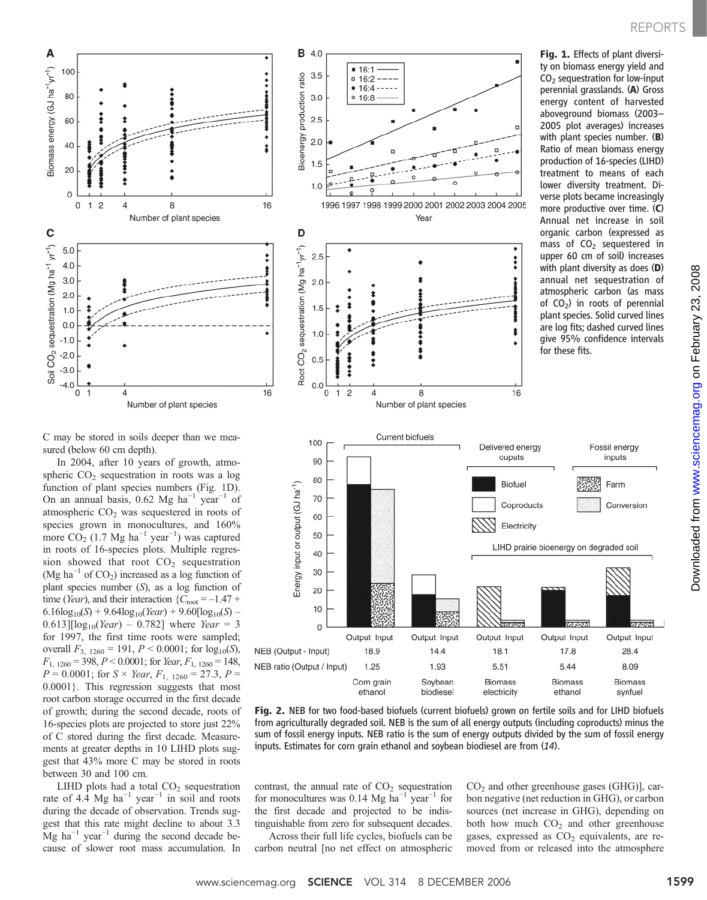# REPORTS



Fig. 1. Effects of plant diversi-

C may be stored in soils deeper than we measured (below 60 cm depth).

Number of plant species

 $\Delta$ 

8

Number of plant species

Biomass energy (GJ ha<sup>-1</sup>yr<sup>-1</sup>) >

C

Soil CO<sub>2</sub> sequestration (Mg ha<sup>-1</sup> yr<sup>-1</sup>)

100

80

60

 $40$ 

20

 $\mathbf 0$ 0  $\overline{2}$ 

 $5.0$ 

 $4.0$ 

 $3.0$ 

 $2.0$  $1.0$ 

 $0.0$ 

 $-1.0$  $-2.0$ 

 $-3.0$  $-4.0$ 

0

 $\mathbf{1}$ 

 $\Delta$ 

In 2004, after 10 years of growth, atmospheric  $CO<sub>2</sub>$  sequestration in roots was a log function of plant species numbers (Fig. 1D). On an annual basis, 0.62 Mg ha<sup>-1</sup> year<sup>-1</sup> of atmospheric  $CO<sub>2</sub>$  was sequestered in roots of species grown in monocultures, and 160% more  $CO<sub>2</sub>$  (1.7 Mg ha<sup>-1</sup> year<sup>-1</sup>) was captured in roots of 16-species plots. Multiple regression showed that root  $CO<sub>2</sub>$  sequestration (Mg ha<sup> $-1$ </sup> of CO<sub>2</sub>) increased as a log function of plant species number (S), as a log function of time (Year), and their interaction  ${C_{\text{root}} = -1.47 + ...}$  $6.16\log_{10}(S) + 9.64\log_{10}(Year) + 9.60[\log_{10}(S) 0.613$ ][ $log_{10}(Year) - 0.782$ ] where *Year* = 3 for 1997, the first time roots were sampled; overall  $F_{3, 1260} = 191, P \le 0.0001$ ; for  $log_{10}(S)$ ,  $F_{1, 1260} = 398, P < 0.0001$ ; for Year,  $F_{1, 1260} = 148$ ,  $P = 0.0001$ ; for  $S \times \text{Year}$ ,  $F_{1, 1260} = 27.3$ ,  $P =$ 0.0001}. This regression suggests that most root carbon storage occurred in the first decade of growth; during the second decade, roots of 16-species plots are projected to store just 22% of C stored during the first decade. Measurements at greater depths in 10 LIHD plots suggest that 43% more C may be stored in roots between 30 and 100 cm.

LIHD plots had a total  $CO<sub>2</sub>$  sequestration rate of 4.4 Mg ha<sup> $-1$ </sup> year<sup> $-1$ </sup> in soil and roots during the decade of observation. Trends suggest that this rate might decline to about 3.3  $Mg$  ha<sup>-1</sup> year<sup>-1</sup> during the second decade because of slower root mass accumulation. In



Fig. 2. NEB for two food-based biofuels (current biofuels) grown on fertile soils and for LIHD biofuels from agriculturally degraded soil. NEB is the sum of all energy outputs (including coproducts) minus the sum of fossil energy inputs. NEB ratio is the sum of energy outputs divided by the sum of fossil energy inputs. Estimates for corn grain ethanol and soybean biodiesel are from (14).

contrast, the annual rate of  $CO<sub>2</sub>$  sequestration for monocultures was 0.14 Mg ha<sup>-1</sup> year<sup>-1</sup> for the first decade and projected to be indistinguishable from zero for subsequent decades.

**B** 4.0

 $3.5$ 

 $16:1$ 

 $= 16:2$ 

Across their full life cycles, biofuels can be carbon neutral [no net effect on atmospheric  $CO<sub>2</sub>$  and other greenhouse gases (GHG)], carbon negative (net reduction in GHG), or carbon sources (net increase in GHG), depending on both how much  $CO<sub>2</sub>$  and other greenhouse gases, expressed as  $CO<sub>2</sub>$  equivalents, are removed from or released into the atmosphere